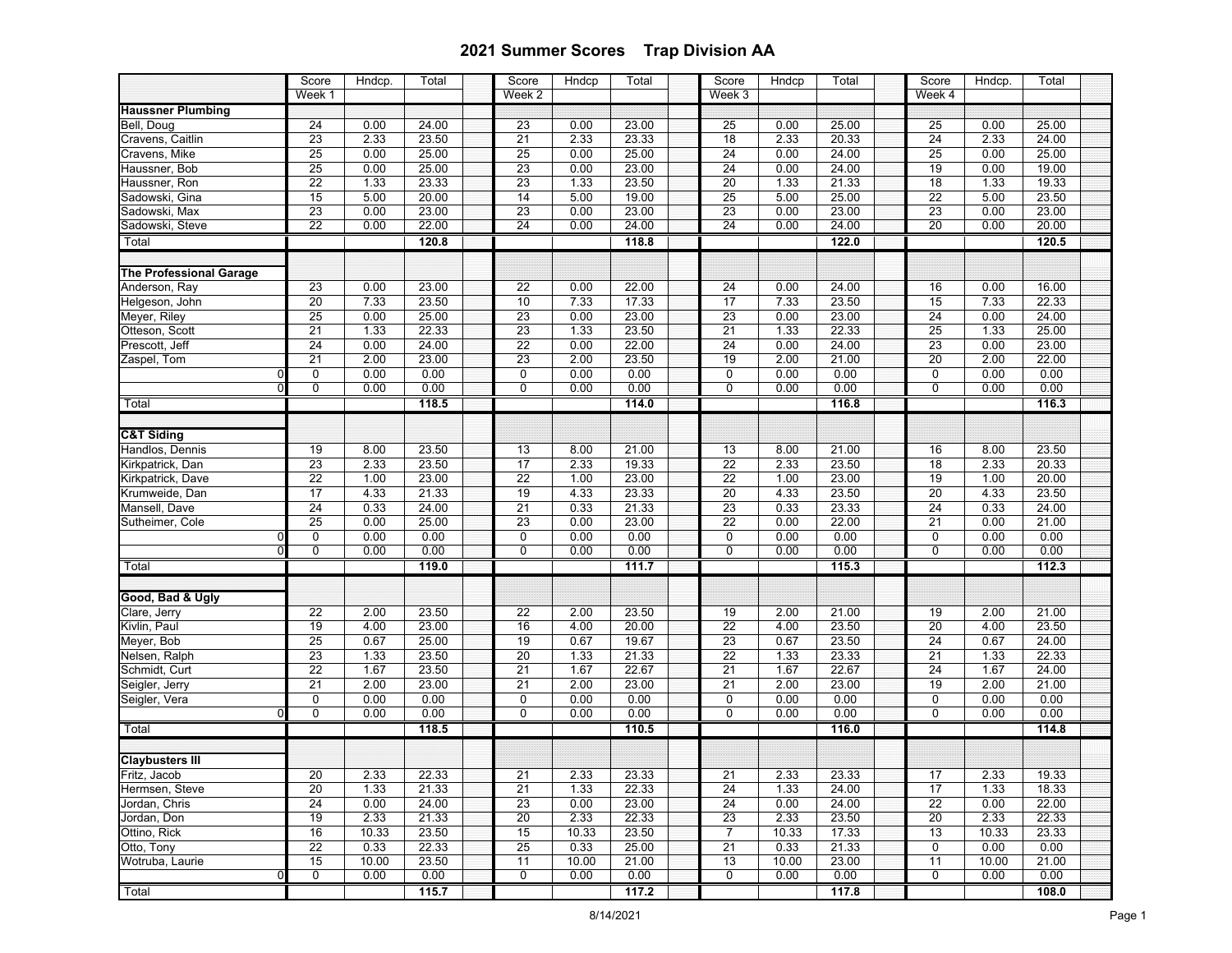|                                                 | Score                 | Hndcp.        | Total          | Score                 | Hndcp         | Total          | Score                 | Hndcp         | Total          | Score                 | Hndcp.        | Total          |  |
|-------------------------------------------------|-----------------------|---------------|----------------|-----------------------|---------------|----------------|-----------------------|---------------|----------------|-----------------------|---------------|----------------|--|
|                                                 | Week 1                |               |                | Week <sub>2</sub>     |               |                | $Wee$ k 3             |               |                | Week 4                |               |                |  |
| <b>Haussner Plumbing</b>                        |                       |               |                |                       |               |                |                       |               |                |                       |               |                |  |
| Bell, Doug                                      | $\overline{24}$       | 0.00          | 24.00          | 23                    | 0.00          | 23.00          | 25                    | 0.00          | 25.00          | 25                    | 0.00          | 25.00          |  |
| Cravens, Caitlin                                | 23                    | 2.33          | 23.50          | $\overline{21}$       | 2.33          | 23.33          | $\overline{18}$       | 2.33          | 20.33          | $\overline{24}$       | 2.33          | 24.00          |  |
| Cravens, Mike                                   | 25                    | 0.00          | 25.00          | 25                    | 0.00          | 25.00          | 24                    | 0.00          | 24.00          | 25                    | 0.00          | 25.00          |  |
| Haussner, Bob                                   | 25                    | 0.00          | 25.00          | $\overline{23}$       | 0.00          | 23.00          | $\overline{24}$       | 0.00          | 24.00          | 19                    | 0.00          | 19.00          |  |
| Haussner, Ron                                   | $\overline{22}$       | 1.33          | 23.33          | 23                    | 1.33          | 23.50          | $\overline{20}$       | 1.33          | 21.33          | 18                    | 1.33          | 19.33          |  |
| Sadowski, Gina                                  | 15                    | 5.00          | 20.00          | 14                    | 5.00          | 19.00          | 25                    | 5.00          | 25.00          | $\overline{22}$       | 5.00          | 23.50          |  |
| Sadowski, Max                                   | 23                    | 0.00          | 23.00          | 23                    | 0.00          | 23.00          | 23                    | 0.00          | 23.00          | 23                    | 0.00          | 23.00          |  |
| Sadowski, Steve                                 | $\overline{22}$       | 0.00          | 22.00          | 24                    | 0.00          | 24.00          | 24                    | 0.00          | 24.00          | 20                    | 0.00          | 20.00          |  |
| Total                                           |                       |               | 120.8          |                       |               | 118.8          |                       |               | 122.0          |                       |               | 120.5          |  |
|                                                 |                       |               |                |                       |               |                |                       |               |                |                       |               |                |  |
| <b>The Professional Garage</b><br>Anderson, Ray |                       | 0.00          | 23.00          |                       | 0.00          | 22.00          | 24                    | 0.00          | 24.00          | 16                    | 0.00          | 16.00          |  |
| Helgeson, John                                  | 23                    |               |                | 22                    |               |                | 17                    |               |                |                       |               | 22.33          |  |
|                                                 | $\overline{20}$       | 7.33          | 23.50          | 10                    | 7.33          | 17.33          | 23                    | 7.33          | 23.50          | 15                    | 7.33          |                |  |
| Meyer, Riley<br>Otteson, Scott                  | $\overline{25}$       | 0.00          | 25.00<br>22.33 | 23                    | 0.00          | 23.00<br>23.50 |                       | 0.00          | 23.00<br>22.33 | $\overline{24}$       | 0.00          | 24.00<br>25.00 |  |
| Prescott, Jeff                                  | 21<br>$\overline{24}$ | 1.33          | 24.00          | 23<br>$\overline{22}$ | 1.33          | 22.00          | $\overline{21}$<br>24 | 1.33          | 24.00          | $\overline{25}$<br>23 | 1.33          | 23.00          |  |
| Zaspel, Tom                                     |                       | 0.00          |                |                       | 0.00          |                |                       | 0.00          |                |                       | 0.00          |                |  |
| $\Omega$                                        | 21<br>0               | 2.00<br>0.00  | 23.00<br>0.00  | 23<br>0               | 2.00<br>0.00  | 23.50<br>0.00  | 19<br>0               | 2.00<br>0.00  | 21.00<br>0.00  | 20<br>$\mathbf 0$     | 2.00<br>0.00  | 22.00<br>0.00  |  |
| $\Omega$                                        | 0                     | 0.00          | 0.00           | 0                     | 0.00          | 0.00           | 0                     | 0.00          | 0.00           | 0                     | 0.00          | 0.00           |  |
|                                                 |                       |               |                |                       |               |                |                       |               |                |                       |               |                |  |
| Total                                           |                       |               | 118.5          |                       |               | 114.0          |                       |               | 116.8          |                       |               | 116.3          |  |
| <b>C&amp;T Siding</b>                           |                       |               |                |                       |               |                |                       |               |                |                       |               |                |  |
| Handlos, Dennis                                 | 19                    | 8.00          | 23.50          | 13                    | 8.00          | 21.00          | 13                    | 8.00          | 21.00          | 16                    | 8.00          | 23.50          |  |
| Kirkpatrick, Dan                                | 23                    | 2.33          | 23.50          | 17                    | 2.33          | 19.33          | 22                    | 2.33          | 23.50          | $\overline{18}$       | 2.33          | 20.33          |  |
| Kirkpatrick, Dave                               | 22                    | 1.00          | 23.00          | 22                    | 1.00          | 23.00          | 22                    | 1.00          | 23.00          | 19                    | 1.00          | 20.00          |  |
| Krumweide, Dan                                  | $\overline{17}$       | 4.33          | 21.33          | 19                    | 4.33          | 23.33          | 20                    | 4.33          | 23.50          | 20                    | 4.33          | 23.50          |  |
| Mansell, Dave                                   | $\overline{24}$       | 0.33          | 24.00          | $\overline{21}$       | 0.33          | 21.33          | 23                    | 0.33          | 23.33          | $\overline{24}$       | 0.33          | 24.00          |  |
| Sutheimer, Cole                                 | $\overline{25}$       | 0.00          | 25.00          | 23                    | 0.00          | 23.00          | 22                    | 0.00          | 22.00          | $\overline{21}$       | 0.00          | 21.00          |  |
| $\Omega$                                        | 0                     | 0.00          | 0.00           | $\mathsf 0$           | 0.00          | 0.00           | 0                     | 0.00          | 0.00           | $\pmb{0}$             | 0.00          | 0.00           |  |
| $\Omega$                                        | 0                     | 0.00          | 0.00           | 0                     | 0.00          | 0.00           | 0                     | 0.00          | 0.00           | 0                     | 0.00          | 0.00           |  |
| Total                                           |                       |               | 119.0          |                       |               | 111.7          |                       |               | 115.3          |                       |               | 112.3          |  |
|                                                 |                       |               |                |                       |               |                |                       |               |                |                       |               |                |  |
| Good, Bad & Ugly                                |                       |               |                |                       |               |                |                       |               |                |                       |               |                |  |
| Clare, Jerry                                    | $\overline{22}$       | 2.00          | 23.50          | $\overline{22}$       | 2.00          | 23.50          | 19                    | 2.00          | 21.00          | 19                    | 2.00          | 21.00          |  |
| Kivlin, Paul                                    | 19                    | 4.00          | 23.00          | 16                    | 4.00          | 20.00          | $\overline{22}$       | 4.00          | 23.50          | $\overline{20}$       | 4.00          | 23.50          |  |
| Meyer, Bob                                      | 25                    | 0.67          | 25.00          | 19                    | 0.67          | 19.67          | 23                    | 0.67          | 23.50          | 24                    | 0.67          | 24.00          |  |
| Nelsen, Ralph                                   | 23                    | 1.33          | 23.50          | $\overline{20}$       | 1.33          | 21.33          | $\overline{22}$       | 1.33          | 23.33          | $\overline{21}$       | 1.33          | 22.33          |  |
| Schmidt, Curt                                   | 22                    | 1.67          | 23.50          | 21                    | 1.67          | 22.67          | $\overline{21}$       | 1.67          | 22.67          | 24                    | 1.67          | 24.00          |  |
| Seigler, Jerry                                  | 21                    | 2.00          | 23.00          | 21                    | 2.00          | 23.00          | 21                    | 2.00          | 23.00          | 19                    | 2.00          | 21.00          |  |
| Seigler, Vera                                   | $\mathbf 0$           | 0.00          | 0.00           | 0                     | 0.00          | 0.00           | $\mathbf 0$           | 0.00          | 0.00           | $\mathbf 0$           | 0.00          | 0.00           |  |
| $\Omega$                                        | 0                     | 0.00          | 0.00           | 0                     | 0.00          | 0.00           | 0                     | 0.00          | 0.00           | 0                     | 0.00          | 0.00           |  |
| Total                                           |                       |               | 118.5          |                       |               | 110.5          |                       |               | 116.0          |                       |               | 114.8          |  |
|                                                 |                       |               |                |                       |               |                |                       |               |                |                       |               |                |  |
| <b>Claybusters III</b>                          |                       |               |                |                       |               |                |                       |               |                |                       |               |                |  |
| Fritz, Jacob                                    | 20                    | 2.33          | 22.33          | 21                    | 2.33          | 23.33          | 21                    | 2.33          | 23.33          | $\overline{17}$       | 2.33          | 19.33          |  |
| Hermsen, Steve                                  | 20                    | 1.33          | 21.33          | 21                    | 1.33          | 22.33          | 24                    | 1.33          | 24.00          | 17                    | 1.33          | 18.33          |  |
| Jordan, Chris<br>Jordan, Don                    | 24                    | 0.00          | 24.00          | 23                    | 0.00          | 23.00          | 24                    | 0.00          | 24.00          | 22                    | 0.00          | 22.00          |  |
|                                                 | 19                    | 2.33          | 21.33          | 20                    | 2.33          | 22.33          | 23<br>$\overline{7}$  | 2.33          | 23.50          | 20                    | 2.33          | 22.33          |  |
| Ottino, Rick<br>Otto, Tony                      | 16                    | 10.33<br>0.33 | 23.50          | 15                    | 10.33         | 23.50          |                       | 10.33         | 17.33          | 13                    | 10.33         | 23.33          |  |
| Wotruba, Laurie                                 | $\overline{22}$<br>15 | 10.00         | 22.33<br>23.50 | 25<br>11              | 0.33<br>10.00 | 25.00<br>21.00 | 21<br>13              | 0.33          | 21.33<br>23.00 | 0<br>11               | 0.00          | 0.00           |  |
| 0                                               | $\mathbf 0$           | 0.00          | 0.00           | 0                     | 0.00          | 0.00           | 0                     | 10.00<br>0.00 | 0.00           | 0                     | 10.00<br>0.00 | 21.00<br>0.00  |  |
| Total                                           |                       |               | 115.7          |                       |               | 117.2          |                       |               | 117.8          |                       |               | 108.0          |  |
|                                                 |                       |               |                |                       |               |                |                       |               |                |                       |               |                |  |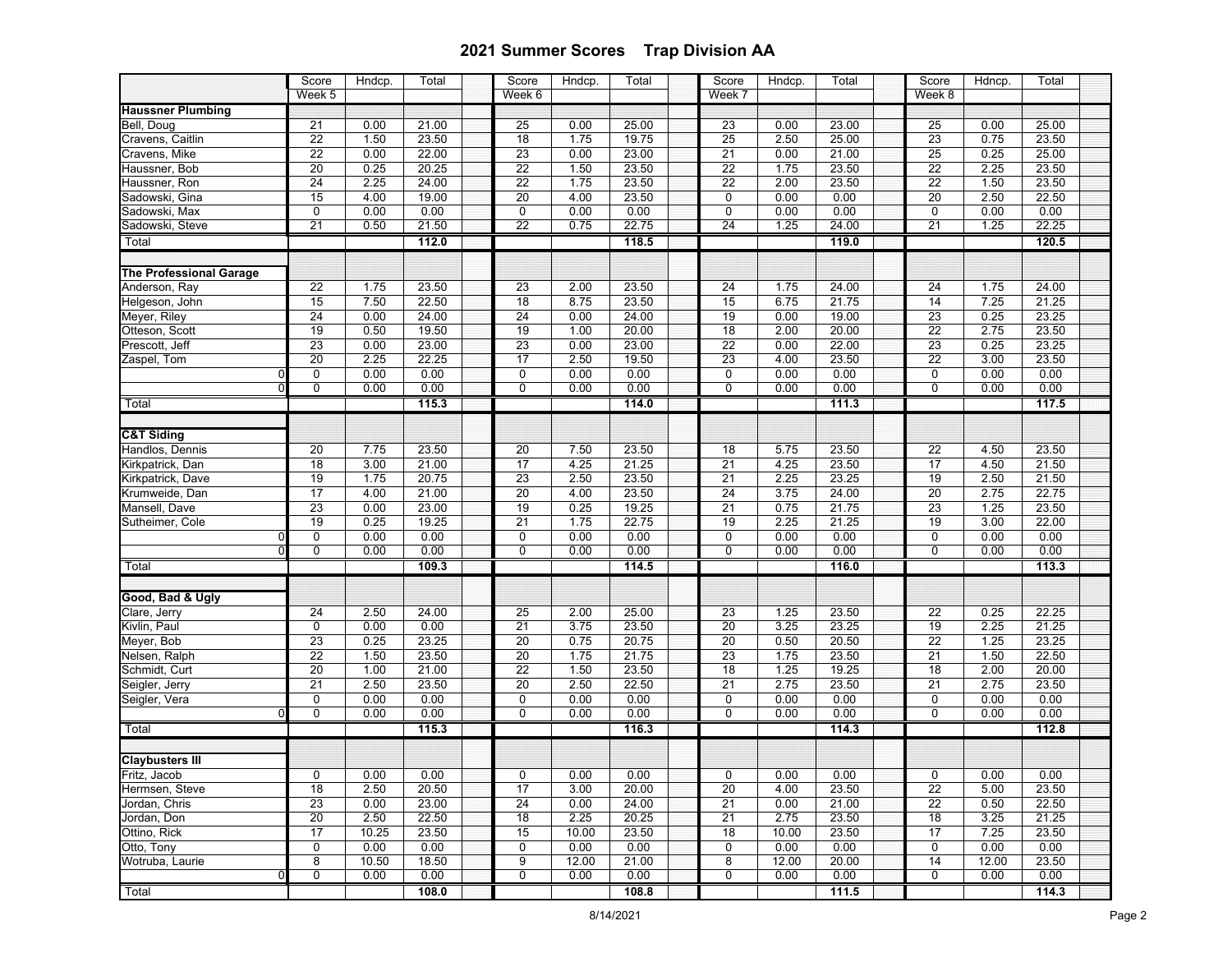|                                       | Score           | Hndcp.       | Total | Score           | Hndcp.       | Total | Score                 | Hndcp. | Total | Score                 | Hdncp.            | Total          |  |
|---------------------------------------|-----------------|--------------|-------|-----------------|--------------|-------|-----------------------|--------|-------|-----------------------|-------------------|----------------|--|
|                                       | Week 5          |              |       | Week 6          |              |       | Week 7                |        |       | Week 8                |                   |                |  |
| <b>Haussner Plumbing</b>              |                 |              |       |                 |              |       |                       |        |       |                       |                   |                |  |
| Bell, Doug                            | 21              | 0.00         | 21.00 | 25              | 0.00         | 25.00 | $\overline{23}$       | 0.00   | 23.00 | 25                    | 0.00              | 25.00          |  |
| Cravens, Caitlin                      | $\overline{22}$ | 1.50         | 23.50 | 18              | 1.75         | 19.75 | 25                    | 2.50   | 25.00 | $\overline{23}$       | 0.75              | 23.50          |  |
| Cravens, Mike                         | $\overline{22}$ | 0.00         | 22.00 | 23              | 0.00         | 23.00 | 21                    | 0.00   | 21.00 | 25                    | 0.25              | 25.00          |  |
| Haussner, Bob                         | $20\,$          | 0.25         | 20.25 | 22              | 1.50         | 23.50 | 22                    | 1.75   | 23.50 | 22                    | 2.25              | 23.50          |  |
| Haussner, Ron                         | $\overline{24}$ | 2.25         | 24.00 | $\overline{22}$ | 1.75         | 23.50 | $\overline{22}$       | 2.00   | 23.50 | $\overline{22}$       | 1.50              | 23.50          |  |
| Sadowski, Gina                        | 15              | 4.00         | 19.00 | $\overline{20}$ | 4.00         | 23.50 | $\mathbf 0$           | 0.00   | 0.00  | $\overline{20}$       | 2.50              | 22.50          |  |
| Sadowski, Max                         | 0               | 0.00         | 0.00  | $\overline{0}$  | 0.00         | 0.00  | $\mathbf 0$           | 0.00   | 0.00  | $\overline{0}$        | 0.00              | 0.00           |  |
| Sadowski, Steve                       | 21              | 0.50         | 21.50 | 22              | 0.75         | 22.75 | 24                    | 1.25   | 24.00 | $\overline{21}$       | 1.25              | 22.25          |  |
| Total                                 |                 |              | 112.0 |                 |              | 118.5 |                       |        | 119.0 |                       |                   | 120.5          |  |
| <b>The Professional Garage</b>        |                 |              |       |                 |              |       |                       |        |       |                       |                   |                |  |
| Anderson, Ray                         | 22              | 1.75         | 23.50 | 23              | 2.00         | 23.50 | 24                    | 1.75   | 24.00 | 24                    | 1.75              | 24.00          |  |
| Helgeson, John                        | 15              | 7.50         | 22.50 | 18              | 8.75         | 23.50 | 15                    | 6.75   | 21.75 | 14                    | 7.25              | 21.25          |  |
| Meyer, Riley                          | $\overline{24}$ | 0.00         | 24.00 | $\overline{24}$ | 0.00         | 24.00 | 19                    | 0.00   | 19.00 | 23                    | 0.25              | 23.25          |  |
| Otteson, Scott                        | 19              | 0.50         | 19.50 | 19              | 1.00         | 20.00 | 18                    | 2.00   | 20.00 | $\overline{22}$       | 2.75              | 23.50          |  |
| Prescott, Jeff                        | $\overline{23}$ | 0.00         | 23.00 | 23              | 0.00         | 23.00 | $\overline{22}$       | 0.00   | 22.00 | $\overline{23}$       | 0.25              | 23.25          |  |
| Zaspel, Tom                           | 20              | 2.25         | 22.25 | 17              | 2.50         | 19.50 | 23                    | 4.00   | 23.50 | 22                    | 3.00              | 23.50          |  |
| $\Omega$                              | 0               | 0.00         | 0.00  | $\pmb{0}$       | 0.00         | 0.00  | $\mathbf 0$           | 0.00   | 0.00  | $\mathbf 0$           | 0.00              | 0.00           |  |
|                                       | 0               | 0.00         | 0.00  | $\overline{0}$  | 0.00         | 0.00  | $\overline{0}$        | 0.00   | 0.00  | $\overline{0}$        | 0.00              | 0.00           |  |
| Total                                 |                 |              | 115.3 |                 |              | 114.0 |                       |        | 111.3 |                       |                   | 117.5          |  |
| <b>C&amp;T Siding</b>                 |                 |              |       |                 |              |       |                       |        |       |                       |                   |                |  |
| Handlos, Dennis                       | $\overline{20}$ | 7.75         | 23.50 |                 | 7.50         | 23.50 | 18                    | 5.75   | 23.50 | $\overline{22}$       | 4.50              | 23.50          |  |
|                                       | 18              | 3.00         | 21.00 | 20<br>17        | 4.25         | 21.25 | $\overline{21}$       | 4.25   | 23.50 | 17                    | 4.50              | 21.50          |  |
| Kirkpatrick, Dan<br>Kirkpatrick, Dave |                 |              | 20.75 | 23              |              | 23.50 |                       | 2.25   | 23.25 |                       |                   |                |  |
| Krumweide, Dan                        | 19<br>17        | 1.75<br>4.00 | 21.00 | 20              | 2.50<br>4.00 | 23.50 | 21<br>$\overline{24}$ | 3.75   | 24.00 | 19<br>$\overline{20}$ | 2.50<br>2.75      | 21.50<br>22.75 |  |
| Mansell, Dave                         | $\overline{23}$ | 0.00         | 23.00 | 19              | 0.25         | 19.25 | 21                    | 0.75   | 21.75 | 23                    | $\overline{1.25}$ | 23.50          |  |
| Sutheimer, Cole                       | 19              | 0.25         | 19.25 | 21              | 1.75         | 22.75 | 19                    | 2.25   | 21.25 | 19                    | 3.00              | 22.00          |  |
| $\Omega$                              | 0               | 0.00         | 0.00  | $\pmb{0}$       | 0.00         | 0.00  | 0                     | 0.00   | 0.00  | 0                     | 0.00              | 0.00           |  |
| $\Omega$                              | 0               | 0.00         | 0.00  | 0               | 0.00         | 0.00  | 0                     | 0.00   | 0.00  | $\mathbf 0$           | 0.00              | 0.00           |  |
|                                       |                 |              | 109.3 |                 |              | 114.5 |                       |        | 116.0 |                       |                   | 113.3          |  |
| Total                                 |                 |              |       |                 |              |       |                       |        |       |                       |                   |                |  |
| Good, Bad & Ugly                      |                 |              |       |                 |              |       |                       |        |       |                       |                   |                |  |
| Clare, Jerry                          | 24              | 2.50         | 24.00 | 25              | 2.00         | 25.00 | 23                    | 1.25   | 23.50 | $\overline{22}$       | 0.25              | 22.25          |  |
| Kivlin, Paul                          | $\mathbf 0$     | 0.00         | 0.00  | $\overline{21}$ | 3.75         | 23.50 | $\overline{20}$       | 3.25   | 23.25 | 19                    | 2.25              | 21.25          |  |
| Meyer, Bob                            | $\overline{23}$ | 0.25         | 23.25 | $\overline{20}$ | 0.75         | 20.75 | 20                    | 0.50   | 20.50 | 22                    | 1.25              | 23.25          |  |
| Nelsen, Ralph                         | $\overline{22}$ | 1.50         | 23.50 | 20              | 1.75         | 21.75 | 23                    | 1.75   | 23.50 | 21                    | 1.50              | 22.50          |  |
| Schmidt, Curt                         | 20              | 1.00         | 21.00 | 22              | 1.50         | 23.50 | 18                    | 1.25   | 19.25 | 18                    | 2.00              | 20.00          |  |
| Seigler, Jerry                        | 21              | 2.50         | 23.50 | $\overline{20}$ | 2.50         | 22.50 | 21                    | 2.75   | 23.50 | 21                    | 2.75              | 23.50          |  |
| Seigler, Vera                         | 0               | 0.00         | 0.00  | $\pmb{0}$       | 0.00         | 0.00  | $\pmb{0}$             | 0.00   | 0.00  | $\mathbf 0$           | 0.00              | 0.00           |  |
| $\mathbf 0$                           | 0               | 0.00         | 0.00  | $\overline{0}$  | 0.00         | 0.00  | $\overline{0}$        | 0.00   | 0.00  | $\overline{0}$        | 0.00              | 0.00           |  |
| Total                                 |                 |              | 115.3 |                 |              | 116.3 |                       |        | 114.3 |                       |                   | 112.8          |  |
| <b>Claybusters III</b>                |                 |              |       |                 |              |       |                       |        |       |                       |                   |                |  |
| Fritz, Jacob                          | U               | 0.00         | 0.00  | U               | 0.00         | 0.00  | U                     | 0.00   | 0.00  | U                     | 0.00              | 0.00           |  |
| Hermsen, Steve                        | 18              | 2.50         | 20.50 | 17              | 3.00         | 20.00 | 20                    | 4.00   | 23.50 | 22                    | 5.00              | 23.50          |  |
| Jordan, Chris                         | 23              | 0.00         | 23.00 | 24              | 0.00         | 24.00 | 21                    | 0.00   | 21.00 | 22                    | 0.50              | 22.50          |  |
| Jordan, Don                           | $\overline{20}$ | 2.50         | 22.50 | 18              | 2.25         | 20.25 | 21                    | 2.75   | 23.50 | 18                    | 3.25              | 21.25          |  |
| Ottino, Rick                          | $\overline{17}$ | 10.25        | 23.50 | 15              | 10.00        | 23.50 | 18                    | 10.00  | 23.50 | 17                    | 7.25              | 23.50          |  |
| Otto, Tony                            | 0               | 0.00         | 0.00  | 0               | 0.00         | 0.00  | $\mathbf 0$           | 0.00   | 0.00  | $\mathbf 0$           | 0.00              | 0.00           |  |
| Wotruba, Laurie                       | 8               | 10.50        | 18.50 | 9               | 12.00        | 21.00 | 8                     | 12.00  | 20.00 | 14                    | 12.00             | 23.50          |  |
|                                       | 0               | 0.00         | 0.00  | 0               | 0.00         | 0.00  | 0                     | 0.00   | 0.00  | 0                     | 0.00              | 0.00           |  |
| Total                                 |                 |              | 108.0 |                 |              | 108.8 |                       |        | 111.5 |                       |                   | 114.3          |  |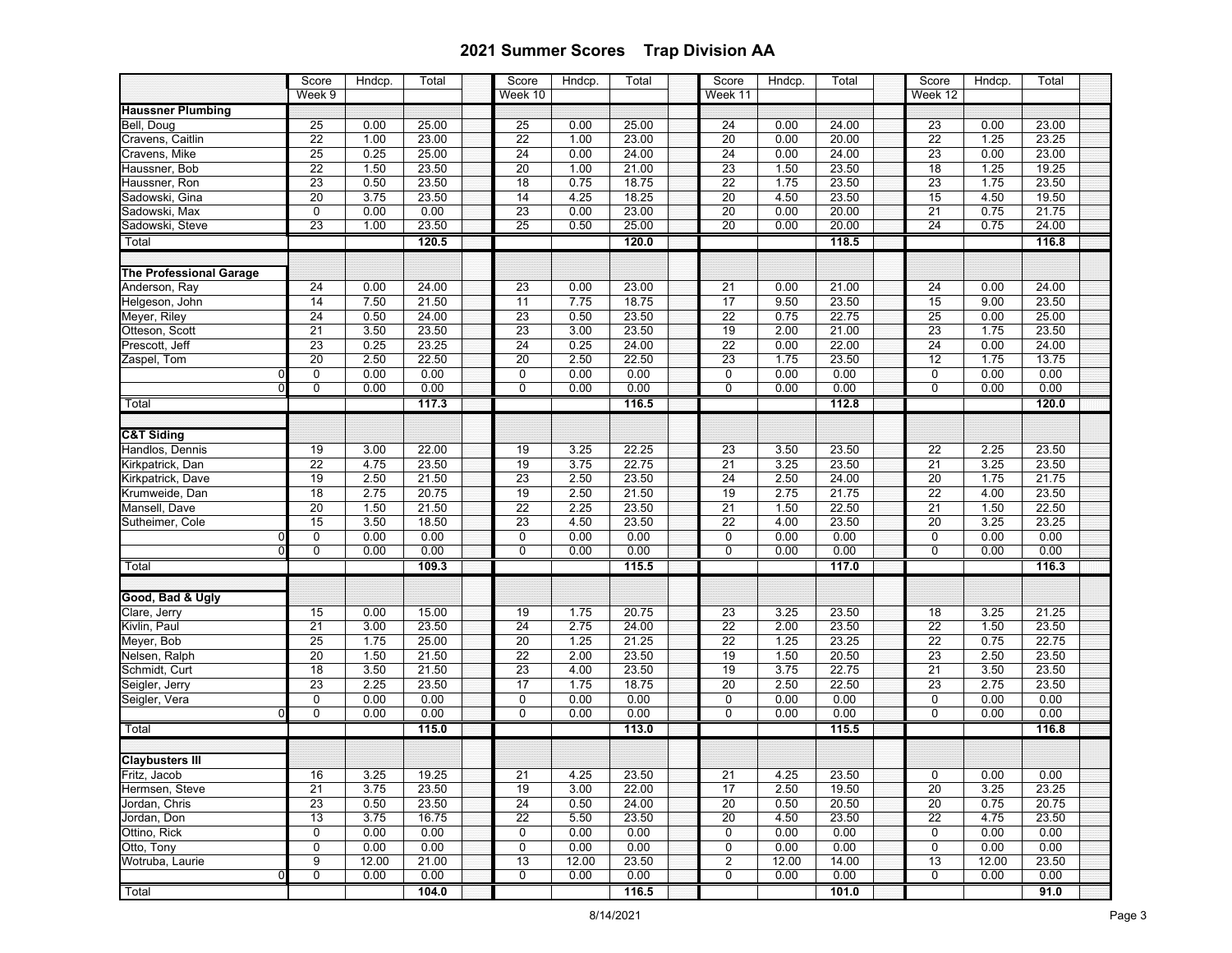|                                       | Score           | Hndcp. | Total | Score           | Hndcp. | Total | Score           | Hndcp. | Total | Score           | Hndcp.       | Total |  |
|---------------------------------------|-----------------|--------|-------|-----------------|--------|-------|-----------------|--------|-------|-----------------|--------------|-------|--|
|                                       | Week 9          |        |       | Week 10         |        |       | Week 11         |        |       | Week 12         |              |       |  |
| <b>Haussner Plumbing</b>              |                 |        |       |                 |        |       |                 |        |       |                 |              |       |  |
| Bell, Doug                            | 25              | 0.00   | 25.00 | 25              | 0.00   | 25.00 | 24              | 0.00   | 24.00 | 23              | 0.00         | 23.00 |  |
| Cravens, Caitlin                      | $\overline{22}$ | 1.00   | 23.00 | $\overline{22}$ | 1.00   | 23.00 | $\overline{20}$ | 0.00   | 20.00 | $\overline{22}$ | 1.25         | 23.25 |  |
| Cravens, Mike                         | $\overline{25}$ | 0.25   | 25.00 | 24              | 0.00   | 24.00 | $\overline{24}$ | 0.00   | 24.00 | 23              | 0.00         | 23.00 |  |
| Haussner, Bob                         | 22              | 1.50   | 23.50 | 20              | 1.00   | 21.00 | 23              | 1.50   | 23.50 | 18              | 1.25         | 19.25 |  |
| Haussner, Ron                         | $\overline{23}$ | 0.50   | 23.50 | $\overline{18}$ | 0.75   | 18.75 | $\overline{22}$ | 1.75   | 23.50 | 23              | 1.75         | 23.50 |  |
| Sadowski, Gina                        | $\overline{20}$ | 3.75   | 23.50 | 14              | 4.25   | 18.25 | $\overline{20}$ | 4.50   | 23.50 | 15              | 4.50         | 19.50 |  |
| Sadowski, Max                         | $\overline{0}$  | 0.00   | 0.00  | 23              | 0.00   | 23.00 | 20              | 0.00   | 20.00 | 21              | 0.75         | 21.75 |  |
| Sadowski, Steve                       | 23              | 1.00   | 23.50 | 25              | 0.50   | 25.00 | $\overline{20}$ | 0.00   | 20.00 | 24              | 0.75         | 24.00 |  |
| Total                                 |                 |        | 120.5 |                 |        | 120.0 |                 |        | 118.5 |                 |              | 116.8 |  |
| <b>The Professional Garage</b>        |                 |        |       |                 |        |       |                 |        |       |                 |              |       |  |
| Anderson, Ray                         | 24              | 0.00   | 24.00 | 23              | 0.00   | 23.00 | 21              | 0.00   | 21.00 | 24              | 0.00         | 24.00 |  |
| Helgeson, John                        | 14              | 7.50   | 21.50 | 11              | 7.75   | 18.75 | 17              | 9.50   | 23.50 | 15              | 9.00         | 23.50 |  |
| Meyer, Riley                          | $\overline{24}$ | 0.50   | 24.00 | $\overline{23}$ | 0.50   | 23.50 | $\overline{22}$ | 0.75   | 22.75 | $\overline{25}$ | 0.00         | 25.00 |  |
| Otteson, Scott                        | 21              | 3.50   | 23.50 | 23              | 3.00   | 23.50 | 19              | 2.00   | 21.00 | 23              | 1.75         | 23.50 |  |
| Prescott, Jeff                        | $\overline{23}$ | 0.25   | 23.25 | $\overline{24}$ | 0.25   | 24.00 | $\overline{22}$ | 0.00   | 22.00 | $\overline{24}$ | 0.00         | 24.00 |  |
| Zaspel, Tom                           | 20              | 2.50   | 22.50 | 20              | 2.50   | 22.50 | 23              | 1.75   | 23.50 | 12              | 1.75         | 13.75 |  |
| $\Omega$                              | 0               | 0.00   | 0.00  | $\pmb{0}$       | 0.00   | 0.00  | $\mathbf 0$     | 0.00   | 0.00  | $\mathbf 0$     | 0.00         | 0.00  |  |
|                                       | 0               | 0.00   | 0.00  | $\overline{0}$  | 0.00   | 0.00  | $\overline{0}$  | 0.00   | 0.00  | $\overline{0}$  | 0.00         | 0.00  |  |
| Total                                 |                 |        | 117.3 |                 |        | 116.5 |                 |        | 112.8 |                 |              | 120.0 |  |
| <b>C&amp;T Siding</b>                 |                 |        |       |                 |        |       |                 |        |       |                 |              |       |  |
| Handlos, Dennis                       | 19              | 3.00   | 22.00 | 19              | 3.25   | 22.25 | 23              | 3.50   | 23.50 | $\overline{22}$ | 2.25         | 23.50 |  |
|                                       | 22              | 4.75   | 23.50 | 19              | 3.75   | 22.75 | $\overline{21}$ | 3.25   | 23.50 | 21              | 3.25         | 23.50 |  |
| Kirkpatrick, Dan<br>Kirkpatrick, Dave | 19              | 2.50   | 21.50 | 23              | 2.50   | 23.50 | 24              | 2.50   | 24.00 | 20              | 1.75         | 21.75 |  |
| Krumweide, Dan                        | 18              | 2.75   | 20.75 | 19              | 2.50   | 21.50 | 19              | 2.75   | 21.75 | $\overline{22}$ | 4.00         | 23.50 |  |
| Mansell, Dave                         | $\overline{20}$ | 1.50   | 21.50 | $\overline{22}$ | 2.25   | 23.50 | 21              | 1.50   | 22.50 | 21              | 1.50         | 22.50 |  |
| Sutheimer, Cole                       | 15              | 3.50   | 18.50 | 23              | 4.50   | 23.50 | 22              | 4.00   | 23.50 | $\overline{20}$ | 3.25         | 23.25 |  |
| $\Omega$                              | $\mathbf 0$     | 0.00   | 0.00  | $\pmb{0}$       | 0.00   | 0.00  | 0               | 0.00   | 0.00  | 0               | 0.00         | 0.00  |  |
| $\Omega$                              | 0               | 0.00   | 0.00  | 0               | 0.00   | 0.00  | 0               | 0.00   | 0.00  | $\mathbf 0$     | 0.00         | 0.00  |  |
| Total                                 |                 |        | 109.3 |                 |        | 115.5 |                 |        | 117.0 |                 |              | 116.3 |  |
|                                       |                 |        |       |                 |        |       |                 |        |       |                 |              |       |  |
| Good, Bad & Ugly                      |                 |        |       |                 |        |       |                 |        |       |                 |              |       |  |
| Clare, Jerry                          | 15              | 0.00   | 15.00 | 19              | 1.75   | 20.75 | 23              | 3.25   | 23.50 | 18              | 3.25         | 21.25 |  |
| Kivlin, Paul                          | $\overline{21}$ | 3.00   | 23.50 | $\overline{24}$ | 2.75   | 24.00 | $\overline{22}$ | 2.00   | 23.50 | $\overline{22}$ | 1.50         | 23.50 |  |
| Meyer, Bob                            | $\overline{25}$ | 1.75   | 25.00 | $\overline{20}$ | 1.25   | 21.25 | 22              | 1.25   | 23.25 | 22              | 0.75         | 22.75 |  |
| Nelsen, Ralph                         | $\overline{20}$ | 1.50   | 21.50 | $\overline{22}$ | 2.00   | 23.50 | 19              | 1.50   | 20.50 | 23              | 2.50         | 23.50 |  |
| Schmidt, Curt                         | 18              | 3.50   | 21.50 | 23              | 4.00   | 23.50 | 19              | 3.75   | 22.75 | 21              | 3.50         | 23.50 |  |
| Seigler, Jerry                        | $\overline{23}$ | 2.25   | 23.50 | 17              | 1.75   | 18.75 | 20              | 2.50   | 22.50 | 23              | 2.75         | 23.50 |  |
| Seigler, Vera                         | 0               | 0.00   | 0.00  | $\pmb{0}$       | 0.00   | 0.00  | $\pmb{0}$       | 0.00   | 0.00  | $\mathbf 0$     | 0.00         | 0.00  |  |
| $\mathbf{0}$                          | 0               | 0.00   | 0.00  | $\overline{0}$  | 0.00   | 0.00  | $\mathbf 0$     | 0.00   | 0.00  | $\overline{0}$  | 0.00         | 0.00  |  |
| Total                                 |                 |        | 115.0 |                 |        | 113.0 |                 |        | 115.5 |                 |              | 116.8 |  |
| <b>Claybusters III</b>                |                 |        |       |                 |        |       |                 |        |       |                 |              |       |  |
| Fritz, Jacob                          | 16              | 3.25   | 19.25 |                 | 4.25   | 23.50 |                 | 4.25   | 23.50 | U               |              | 0.00  |  |
| Hermsen, Steve                        | 21              | 3.75   | 23.50 | 21<br>19        | 3.00   | 22.00 | 21<br>17        | 2.50   | 19.50 | 20              | 0.00<br>3.25 | 23.25 |  |
| Jordan, Chris                         | 23              | 0.50   | 23.50 | 24              | 0.50   | 24.00 | 20              | 0.50   | 20.50 | 20              | 0.75         | 20.75 |  |
| Jordan, Don                           | 13              | 3.75   | 16.75 | 22              | 5.50   | 23.50 | 20              | 4.50   | 23.50 | 22              | 4.75         | 23.50 |  |
| Ottino, Rick                          | 0               | 0.00   | 0.00  | 0               | 0.00   | 0.00  | $\mathbf 0$     | 0.00   | 0.00  | 0               | 0.00         | 0.00  |  |
| Otto, Tony                            | 0               | 0.00   | 0.00  | 0               | 0.00   | 0.00  | $\mathbf 0$     | 0.00   | 0.00  | $\mathbf 0$     | 0.00         | 0.00  |  |
| Wotruba, Laurie                       | 9               | 12.00  | 21.00 | 13              | 12.00  | 23.50 | 2               | 12.00  | 14.00 | 13              | 12.00        | 23.50 |  |
| 0                                     | 0               | 0.00   | 0.00  | 0               | 0.00   | 0.00  | 0               | 0.00   | 0.00  | 0               | 0.00         | 0.00  |  |
| Total                                 |                 |        | 104.0 |                 |        | 116.5 |                 |        | 101.0 |                 |              | 91.0  |  |
|                                       |                 |        |       |                 |        |       |                 |        |       |                 |              |       |  |